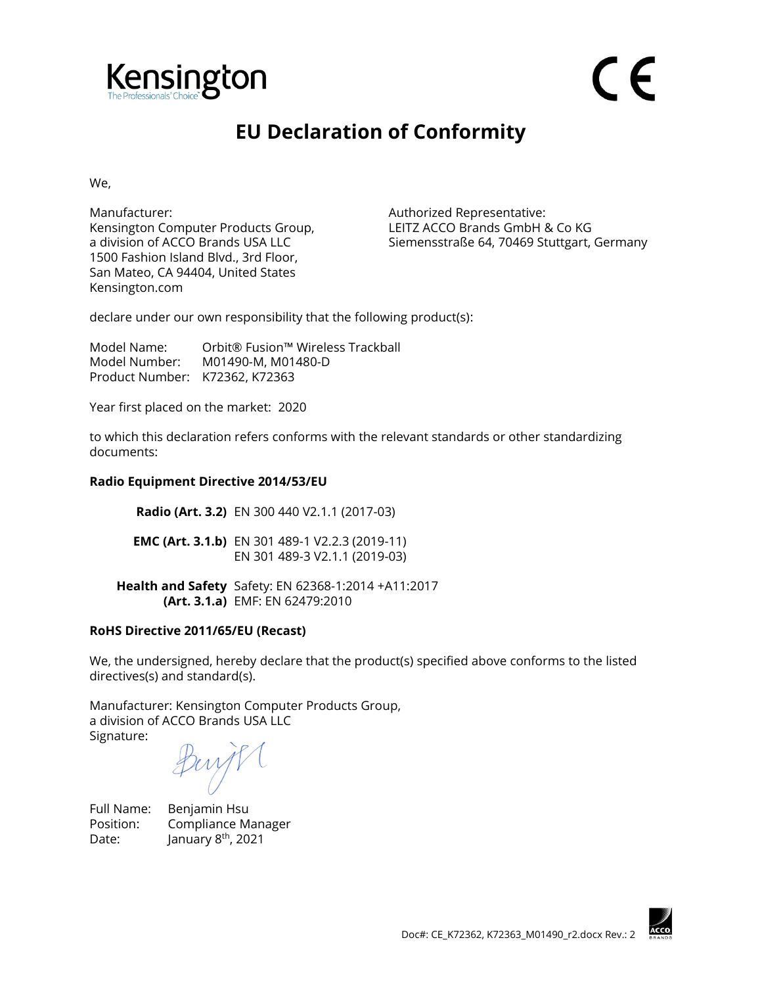

## **EU Declaration of Conformity**

We,

Manufacturer: Manufacturer: Authorized Representative: Kensington Computer Products Group, a division of ACCO Brands USA LLC 1500 Fashion Island Blvd., 3rd Floor, San Mateo, CA 94404, United States Kensington.com

LEITZ ACCO Brands GmbH & Co KG Siemensstraße 64, 70469 Stuttgart, Germany

declare under our own responsibility that the following product(s):

Model Name: Orbit® Fusion™ Wireless Trackball Model Number: M01490-M, M01480-D Product Number: K72362, K72363

Year first placed on the market: 2020

to which this declaration refers conforms with the relevant standards or other standardizing documents:

## **Radio Equipment Directive 2014/53/EU**

**Radio (Art. 3.2)** EN 300 440 V2.1.1 (2017-03) **EMC (Art. 3.1.b)** EN 301 489-1 V2.2.3 (2019-11) EN 301 489-3 V2.1.1 (2019-03)

**Health and Safety**  Safety: EN 62368-1:2014 +A11:2017 **(Art. 3.1.a)** EMF: EN 62479:2010

## **RoHS Directive 2011/65/EU (Recast)**

We, the undersigned, hereby declare that the product(s) specified above conforms to the listed directives(s) and standard(s).

Manufacturer: Kensington Computer Products Group, a division of ACCO Brands USA LLC Signature:

Full Name: Benjamin Hsu

Position: Compliance Manager Date: January  $8<sup>th</sup>$ , 2021